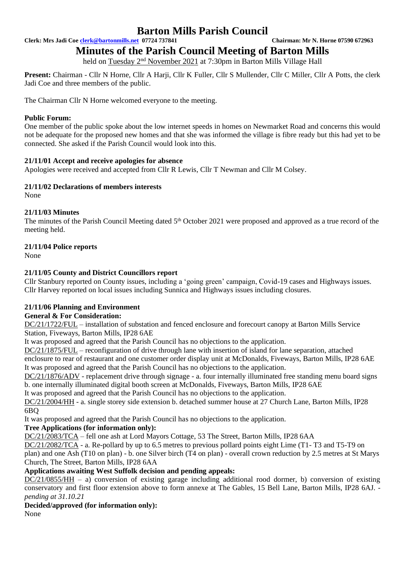**Clerk: Mrs Jadi Coe [clerk@bartonmills.net](mailto:clerk@bartonmills.net) 07724 737841 Chairman: Mr N. Horne 07590 672963**

# **Minutes of the Parish Council Meeting of Barton Mills**

held on Tuesday 2<sup>nd</sup> November 2021 at 7:30pm in Barton Mills Village Hall

**Present:** Chairman - Cllr N Horne, Cllr A Harji, Cllr K Fuller, Cllr S Mullender, Cllr C Miller, Cllr A Potts, the clerk Jadi Coe and three members of the public.

The Chairman Cllr N Horne welcomed everyone to the meeting.

### **Public Forum:**

One member of the public spoke about the low internet speeds in homes on Newmarket Road and concerns this would not be adequate for the proposed new homes and that she was informed the village is fibre ready but this had yet to be connected. She asked if the Parish Council would look into this.

## **21/11/01 Accept and receive apologies for absence**

Apologies were received and accepted from Cllr R Lewis, Cllr T Newman and Cllr M Colsey.

#### **21/11/02 Declarations of members interests**

None

## **21/11/03 Minutes**

The minutes of the Parish Council Meeting dated 5<sup>th</sup> October 2021 were proposed and approved as a true record of the meeting held.

## **21/11/04 Police reports**

None

## **21/11/05 County and District Councillors report**

Cllr Stanbury reported on County issues, including a 'going green' campaign, Covid-19 cases and Highways issues. Cllr Harvey reported on local issues including Sunnica and Highways issues including closures.

#### **21/11/06 Planning and Environment**

#### **General & For Consideration:**

DC/21/1722/FUL – installation of substation and fenced enclosure and forecourt canopy at Barton Mills Service Station, Fiveways, Barton Mills, IP28 6AE

It was proposed and agreed that the Parish Council has no objections to the application.

DC/21/1875/FUL – reconfiguration of drive through lane with insertion of island for lane separation, attached enclosure to rear of restaurant and one customer order display unit at McDonalds, Fiveways, Barton Mills, IP28 6AE It was proposed and agreed that the Parish Council has no objections to the application.

DC/21/1876/ADV - replacement drive through signage - a. four internally illuminated free standing menu board signs b. one internally illuminated digital booth screen at McDonalds, Fiveways, Barton Mills, IP28 6AE

It was proposed and agreed that the Parish Council has no objections to the application.

DC/21/2004/HH - a. single storey side extension b. detached summer house at 27 Church Lane, Barton Mills, IP28 6BQ

It was proposed and agreed that the Parish Council has no objections to the application.

# **Tree Applications (for information only):**

DC/21/2083/TCA – fell one ash at Lord Mayors Cottage, 53 The Street, Barton Mills, IP28 6AA

DC/21/2082/TCA - a. Re-pollard by up to 6.5 metres to previous pollard points eight Lime (T1- T3 and T5-T9 on

plan) and one Ash (T10 on plan) - b. one Silver birch (T4 on plan) - overall crown reduction by 2.5 metres at St Marys Church, The Street, Barton Mills, IP28 6AA

# **Applications awaiting West Suffolk decision and pending appeals:**

 $DC/21/0855/HH - a$ ) conversion of existing garage including additional rood dormer, b) conversion of existing conservatory and first floor extension above to form annexe at The Gables, 15 Bell Lane, Barton Mills, IP28 6AJ.  *pending at 31.10.21*

# **Decided/approved (for information only):**

None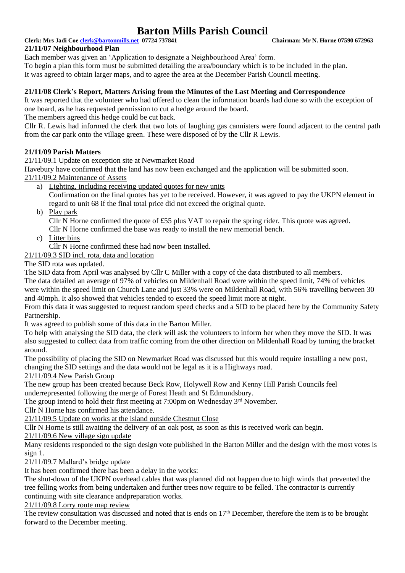**Clerk: Mrs Jadi Coe [clerk@bartonmills.net](mailto:clerk@bartonmills.net) 07724 737841 Chairman: Mr N. Horne 07590 672963**

## **21/11/07 Neighbourhood Plan**

Each member was given an 'Application to designate a Neighbourhood Area' form.

To begin a plan this form must be submitted detailing the area/boundary which is to be included in the plan.

It was agreed to obtain larger maps, and to agree the area at the December Parish Council meeting.

### **21/11/08 Clerk's Report, Matters Arising from the Minutes of the Last Meeting and Correspondence**

It was reported that the volunteer who had offered to clean the information boards had done so with the exception of one board, as he has requested permission to cut a hedge around the board.

The members agreed this hedge could be cut back.

Cllr R. Lewis had informed the clerk that two lots of laughing gas cannisters were found adjacent to the central path from the car park onto the village green. These were disposed of by the Cllr R Lewis.

## **21/11/09 Parish Matters**

21/11/09.1 Update on exception site at Newmarket Road

Havebury have confirmed that the land has now been exchanged and the application will be submitted soon. 21/11/09.2 Maintenance of Assets

- a) Lighting, including receiving updated quotes for new units Confirmation on the final quotes has yet to be received. However, it was agreed to pay the UKPN element in regard to unit 68 if the final total price did not exceed the original quote.
- b) Play park

Cllr N Horne confirmed the quote of £55 plus VAT to repair the spring rider. This quote was agreed. Cllr N Horne confirmed the base was ready to install the new memorial bench.

c) Litter bins

Cllr N Horne confirmed these had now been installed.

21/11/09.3 SID incl. rota, data and location

The SID rota was updated.

The SID data from April was analysed by Cllr C Miller with a copy of the data distributed to all members.

The data detailed an average of 97% of vehicles on Mildenhall Road were within the speed limit, 74% of vehicles were within the speed limit on Church Lane and just 33% were on Mildenhall Road, with 56% travelling between 30 and 40mph. It also showed that vehicles tended to exceed the speed limit more at night.

From this data it was suggested to request random speed checks and a SID to be placed here by the Community Safety Partnership.

It was agreed to publish some of this data in the Barton Miller.

To help with analysing the SID data, the clerk will ask the volunteers to inform her when they move the SID. It was also suggested to collect data from traffic coming from the other direction on Mildenhall Road by turning the bracket around.

The possibility of placing the SID on Newmarket Road was discussed but this would require installing a new post, changing the SID settings and the data would not be legal as it is a Highways road.

# 21/11/09.4 New Parish Group

The new group has been created because Beck Row, Holywell Row and Kenny Hill Parish Councils feel

underrepresented following the merge of Forest Heath and St Edmundsbury.

The group intend to hold their first meeting at 7:00pm on Wednesday  $3<sup>rd</sup>$  November.

Cllr N Horne has confirmed his attendance.

21/11/09.5 Update on works at the island outside Chestnut Close

Cllr N Horne is still awaiting the delivery of an oak post, as soon as this is received work can begin.

21/11/09.6 New village sign update

Many residents responded to the sign design vote published in the Barton Miller and the design with the most votes is sign 1.

21/11/09.7 Mallard's bridge update

It has been confirmed there has been a delay in the works:

The shut-down of the UKPN overhead cables that was planned did not happen due to high winds that prevented the tree felling works from being undertaken and further trees now require to be felled. The contractor is currently continuing with site clearance andpreparation works.

#### 21/11/09.8 Lorry route map review

The review consultation was discussed and noted that is ends on  $17<sup>th</sup>$  December, therefore the item is to be brought forward to the December meeting.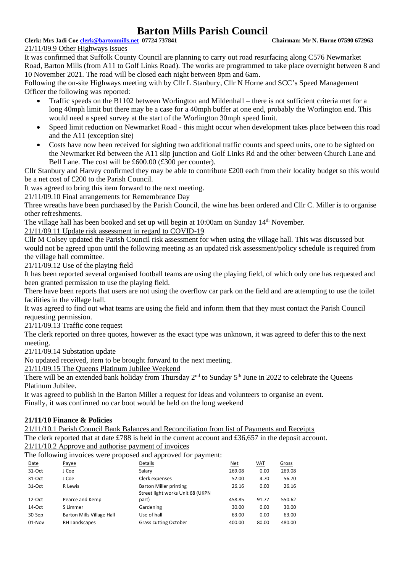#### **Clerk: Mrs Jadi Coe [clerk@bartonmills.net](mailto:clerk@bartonmills.net) 07724 737841 Chairman: Mr N. Horne 07590 672963**

#### 21/11/09.9 Other Highways issues

It was confirmed that Suffolk County Council are planning to carry out road resurfacing along C576 Newmarket Road, Barton Mills (from A11 to Golf Links Road). The works are programmed to take place overnight between 8 and 10 November 2021. The road will be closed each night between 8pm and 6am.

Following the on-site Highways meeting with by Cllr L Stanbury, Cllr N Horne and SCC's Speed Management Officer the following was reported:

- Traffic speeds on the B1102 between Worlington and Mildenhall there is not sufficient criteria met for a long 40mph limit but there may be a case for a 40mph buffer at one end, probably the Worlington end. This would need a speed survey at the start of the Worlington 30mph speed limit.
- Speed limit reduction on Newmarket Road this might occur when development takes place between this road and the A11 (exception site)
- Costs have now been received for sighting two additional traffic counts and speed units, one to be sighted on the Newmarket Rd between the A11 slip junction and Golf Links Rd and the other between Church Lane and Bell Lane. The cost will be £600.00 (£300 per counter).

Cllr Stanbury and Harvey confirmed they may be able to contribute £200 each from their locality budget so this would be a net cost of £200 to the Parish Council.

It was agreed to bring this item forward to the next meeting.

21/11/09.10 Final arrangements for Remembrance Day

Three wreaths have been purchased by the Parish Council, the wine has been ordered and Cllr C. Miller is to organise other refreshments.

The village hall has been booked and set up will begin at 10:00am on Sunday 14<sup>th</sup> November.

21/11/09.11 Update risk assessment in regard to COVID-19

Cllr M Colsey updated the Parish Council risk assessment for when using the village hall. This was discussed but would not be agreed upon until the following meeting as an updated risk assessment/policy schedule is required from the village hall committee.

21/11/09.12 Use of the playing field

It has been reported several organised football teams are using the playing field, of which only one has requested and been granted permission to use the playing field.

There have been reports that users are not using the overflow car park on the field and are attempting to use the toilet facilities in the village hall.

It was agreed to find out what teams are using the field and inform them that they must contact the Parish Council requesting permission.

21/11/09.13 Traffic cone request

The clerk reported on three quotes, however as the exact type was unknown, it was agreed to defer this to the next meeting.

21/11/09.14 Substation update

No updated received, item to be brought forward to the next meeting.

21/11/09.15 The Queens Platinum Jubilee Weekend

There will be an extended bank holiday from Thursday  $2<sup>nd</sup>$  to Sunday  $5<sup>th</sup>$  June in 2022 to celebrate the Oueens Platinum Jubilee.

It was agreed to publish in the Barton Miller a request for ideas and volunteers to organise an event. Finally, it was confirmed no car boot would be held on the long weekend

#### **21/11/10 Finance & Policies**

21/11/10.1 Parish Council Bank Balances and Reconciliation from list of Payments and Receipts The clerk reported that at date £788 is held in the current account and £36,657 in the deposit account. 21/11/10.2 Approve and authorise payment of invoices

The following invoices were proposed and approved for payment:

| Date      | Payee                     | Details                          | Net    | <b>VAT</b> | Gross  |
|-----------|---------------------------|----------------------------------|--------|------------|--------|
| 31-Oct    | J Coe                     | Salary                           | 269.08 | 0.00       | 269.08 |
| 31-Oct    | J Coe                     | Clerk expenses                   | 52.00  | 4.70       | 56.70  |
| 31-Oct    | R Lewis                   | <b>Barton Miller printing</b>    | 26.16  | 0.00       | 26.16  |
|           |                           | Street light works Unit 68 (UKPN |        |            |        |
| $12$ -Oct | Pearce and Kemp           | part)                            | 458.85 | 91.77      | 550.62 |
| 14-Oct    | S Limmer                  | Gardening                        | 30.00  | 0.00       | 30.00  |
| 30-Sep    | Barton Mills Village Hall | Use of hall                      | 63.00  | 0.00       | 63.00  |
| $01-Nov$  | RH Landscapes             | <b>Grass cutting October</b>     | 400.00 | 80.00      | 480.00 |